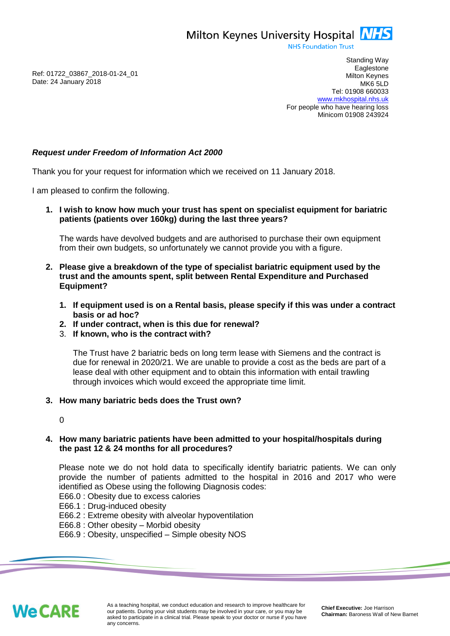Milton Keynes University Hospital **NHS** 

**NHS Foundation Trust** 

Ref: 01722\_03867\_2018-01-24\_01 Date: 24 January 2018

Standing Way **Eaglestone** Milton Keynes MK6 5LD Tel: 01908 660033 [www.mkhospital.nhs.uk](http://www.mkhospital.nhs.uk/) For people who have hearing loss Minicom 01908 243924

## *Request under Freedom of Information Act 2000*

Thank you for your request for information which we received on 11 January 2018.

I am pleased to confirm the following.

**1. I wish to know how much your trust has spent on specialist equipment for bariatric patients (patients over 160kg) during the last three years?**

The wards have devolved budgets and are authorised to purchase their own equipment from their own budgets, so unfortunately we cannot provide you with a figure.

- **2. Please give a breakdown of the type of specialist bariatric equipment used by the trust and the amounts spent, split between Rental Expenditure and Purchased Equipment?**
	- **1. If equipment used is on a Rental basis, please specify if this was under a contract basis or ad hoc?**
	- **2. If under contract, when is this due for renewal?**
	- 3. **If known, who is the contract with?**

The Trust have 2 bariatric beds on long term lease with Siemens and the contract is due for renewal in 2020/21. We are unable to provide a cost as the beds are part of a lease deal with other equipment and to obtain this information with entail trawling through invoices which would exceed the appropriate time limit.

## **3. How many bariatric beds does the Trust own?**

 $\Omega$ 

## **4. How many bariatric patients have been admitted to your hospital/hospitals during the past 12 & 24 months for all procedures?**

Please note we do not hold data to specifically identify bariatric patients. We can only provide the number of patients admitted to the hospital in 2016 and 2017 who were identified as Obese using the following Diagnosis codes:

E66.0 : Obesity due to excess calories

E66.1 : Drug-induced obesity

- E66.2 : Extreme obesity with alveolar hypoventilation
- E66.8 : Other obesity Morbid obesity

E66.9 : Obesity, unspecified – Simple obesity NOS